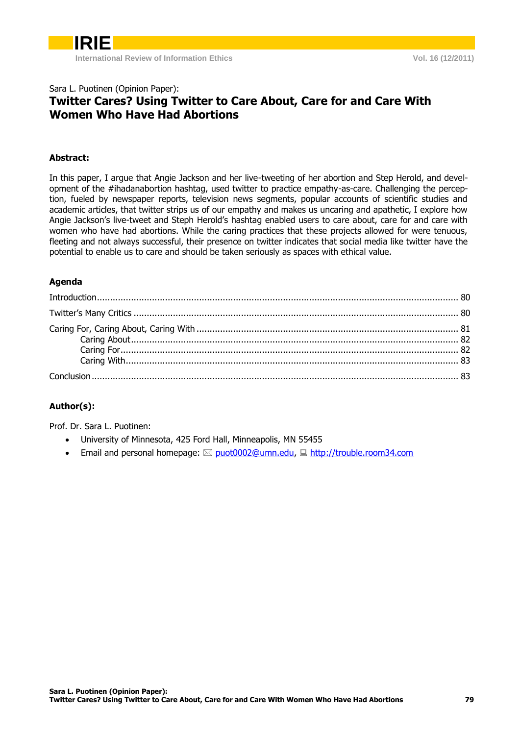### Sara L. Puotinen (Opinion Paper): **Twitter Cares? Using Twitter to Care About, Care for and Care With Women Who Have Had Abortions**

### **Abstract:**

In this paper, I argue that Angie Jackson and her live-tweeting of her abortion and Step Herold, and development of the #ihadanabortion hashtag, used twitter to practice empathy-as-care. Challenging the perception, fueled by newspaper reports, television news segments, popular accounts of scientific studies and academic articles, that twitter strips us of our empathy and makes us uncaring and apathetic, I explore how Angie Jackson's live-tweet and Steph Herold's hashtag enabled users to care about, care for and care with women who have had abortions. While the caring practices that these projects allowed for were tenuous, fleeting and not always successful, their presence on twitter indicates that social media like twitter have the potential to enable us to care and should be taken seriously as spaces with ethical value.

### **Agenda**

### **Author(s):**

Prof. Dr. Sara L. Puotinen:

- University of Minnesota, 425 Ford Hall, Minneapolis, MN 55455
- **Email and personal homepage:**  $\boxtimes$  [puot0002@umn.edu,](mailto:capurro@hdm-stuttgart.de)  $\boxplus$  [http://trouble.room34.com](http://www.capurro.de/)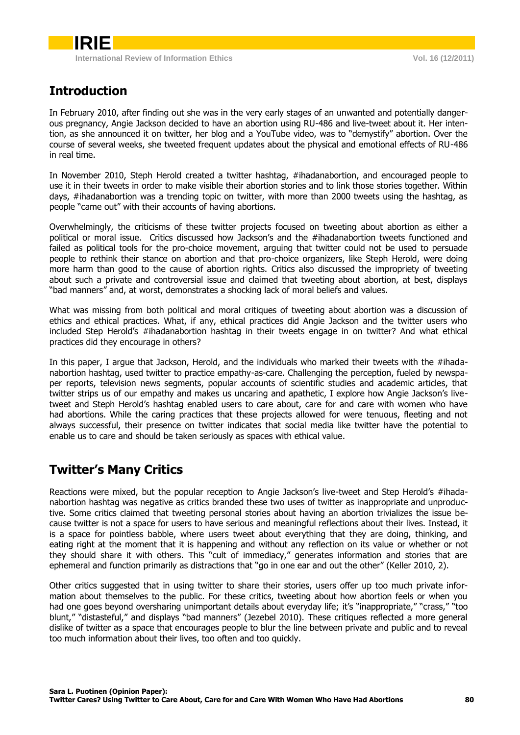# <span id="page-1-0"></span>**Introduction**

In February 2010, after finding out she was in the very early stages of an unwanted and potentially dangerous pregnancy, Angie Jackson decided to have an abortion using RU-486 and live-tweet about it. Her intention, as she announced it on twitter, her blog and a YouTube video, was to "demystify" abortion. Over the course of several weeks, she tweeted frequent updates about the physical and emotional effects of RU-486 in real time.

In November 2010, Steph Herold created a twitter hashtag, #ihadanabortion, and encouraged people to use it in their tweets in order to make visible their abortion stories and to link those stories together. Within days, #ihadanabortion was a trending topic on twitter, with more than 2000 tweets using the hashtag, as people "came out" with their accounts of having abortions.

Overwhelmingly, the criticisms of these twitter projects focused on tweeting about abortion as either a political or moral issue. Critics discussed how Jackson's and the #ihadanabortion tweets functioned and failed as political tools for the pro-choice movement, arguing that twitter could not be used to persuade people to rethink their stance on abortion and that pro-choice organizers, like Steph Herold, were doing more harm than good to the cause of abortion rights. Critics also discussed the impropriety of tweeting about such a private and controversial issue and claimed that tweeting about abortion, at best, displays "bad manners" and, at worst, demonstrates a shocking lack of moral beliefs and values.

What was missing from both political and moral critiques of tweeting about abortion was a discussion of ethics and ethical practices. What, if any, ethical practices did Angie Jackson and the twitter users who included Step Herold's #ihadanabortion hashtag in their tweets engage in on twitter? And what ethical practices did they encourage in others?

In this paper, I argue that Jackson, Herold, and the individuals who marked their tweets with the #ihadanabortion hashtag, used twitter to practice empathy-as-care. Challenging the perception, fueled by newspaper reports, television news segments, popular accounts of scientific studies and academic articles, that twitter strips us of our empathy and makes us uncaring and apathetic, I explore how Angie Jackson's livetweet and Steph Herold's hashtag enabled users to care about, care for and care with women who have had abortions. While the caring practices that these projects allowed for were tenuous, fleeting and not always successful, their presence on twitter indicates that social media like twitter have the potential to enable us to care and should be taken seriously as spaces with ethical value.

## <span id="page-1-1"></span>**Twitter's Many Critics**

Reactions were mixed, but the popular reception to Angie Jackson's live-tweet and Step Herold's #ihadanabortion hashtag was negative as critics branded these two uses of twitter as inappropriate and unproductive. Some critics claimed that tweeting personal stories about having an abortion trivializes the issue because twitter is not a space for users to have serious and meaningful reflections about their lives. Instead, it is a space for pointless babble, where users tweet about everything that they are doing, thinking, and eating right at the moment that it is happening and without any reflection on its value or whether or not they should share it with others. This "cult of immediacy," generates information and stories that are ephemeral and function primarily as distractions that "go in one ear and out the other" (Keller 2010, 2).

Other critics suggested that in using twitter to share their stories, users offer up too much private information about themselves to the public. For these critics, tweeting about how abortion feels or when you had one goes beyond oversharing unimportant details about everyday life; it's "inappropriate," "crass," "too blunt," "distasteful," and displays "bad manners" (Jezebel 2010). These critiques reflected a more general dislike of twitter as a space that encourages people to blur the line between private and public and to reveal too much information about their lives, too often and too quickly.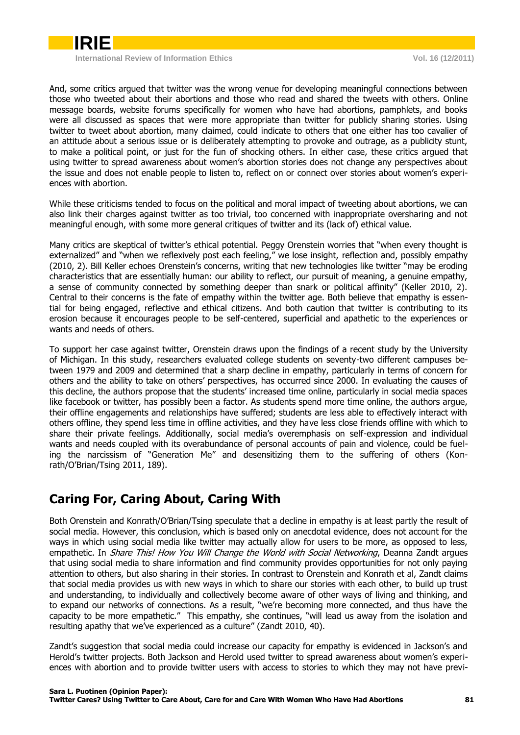

And, some critics argued that twitter was the wrong venue for developing meaningful connections between those who tweeted about their abortions and those who read and shared the tweets with others. Online message boards, website forums specifically for women who have had abortions, pamphlets, and books were all discussed as spaces that were more appropriate than twitter for publicly sharing stories. Using twitter to tweet about abortion, many claimed, could indicate to others that one either has too cavalier of an attitude about a serious issue or is deliberately attempting to provoke and outrage, as a publicity stunt, to make a political point, or just for the fun of shocking others. In either case, these critics argued that using twitter to spread awareness about women's abortion stories does not change any perspectives about the issue and does not enable people to listen to, reflect on or connect over stories about women's experiences with abortion.

While these criticisms tended to focus on the political and moral impact of tweeting about abortions, we can also link their charges against twitter as too trivial, too concerned with inappropriate oversharing and not meaningful enough, with some more general critiques of twitter and its (lack of) ethical value.

Many critics are skeptical of twitter's ethical potential. Peggy Orenstein worries that "when every thought is externalized" and "when we reflexively post each feeling," we lose insight, reflection and, possibly empathy (2010, 2). Bill Keller echoes Orenstein's concerns, writing that new technologies like twitter "may be eroding characteristics that are essentially human: our ability to reflect, our pursuit of meaning, a genuine empathy, a sense of community connected by something deeper than snark or political affinity" (Keller 2010, 2). Central to their concerns is the fate of empathy within the twitter age. Both believe that empathy is essential for being engaged, reflective and ethical citizens. And both caution that twitter is contributing to its erosion because it encourages people to be self-centered, superficial and apathetic to the experiences or wants and needs of others.

To support her case against twitter, Orenstein draws upon the findings of a recent study by the University of Michigan. In this study, researchers evaluated college students on seventy-two different campuses between 1979 and 2009 and determined that a sharp decline in empathy, particularly in terms of concern for others and the ability to take on others' perspectives, has occurred since 2000. In evaluating the causes of this decline, the authors propose that the students' increased time online, particularly in social media spaces like facebook or twitter, has possibly been a factor. As students spend more time online, the authors argue, their offline engagements and relationships have suffered; students are less able to effectively interact with others offline, they spend less time in offline activities, and they have less close friends offline with which to share their private feelings. Additionally, social media's overemphasis on self-expression and individual wants and needs coupled with its overabundance of personal accounts of pain and violence, could be fueling the narcissism of "Generation Me" and desensitizing them to the suffering of others (Konrath/O'Brian/Tsing 2011, 189).

## <span id="page-2-0"></span>**Caring For, Caring About, Caring With**

Both Orenstein and Konrath/O'Brian/Tsing speculate that a decline in empathy is at least partly the result of social media. However, this conclusion, which is based only on anecdotal evidence, does not account for the ways in which using social media like twitter may actually allow for users to be more, as opposed to less, empathetic. In *Share This! How You Will Change the World with Social Networking*, Deanna Zandt argues that using social media to share information and find community provides opportunities for not only paying attention to others, but also sharing in their stories. In contrast to Orenstein and Konrath et al, Zandt claims that social media provides us with new ways in which to share our stories with each other, to build up trust and understanding, to individually and collectively become aware of other ways of living and thinking, and to expand our networks of connections. As a result, "we're becoming more connected, and thus have the capacity to be more empathetic." This empathy, she continues, "will lead us away from the isolation and resulting apathy that we've experienced as a culture" (Zandt 2010, 40).

Zandt's suggestion that social media could increase our capacity for empathy is evidenced in Jackson's and Herold's twitter projects. Both Jackson and Herold used twitter to spread awareness about women's experiences with abortion and to provide twitter users with access to stories to which they may not have previ-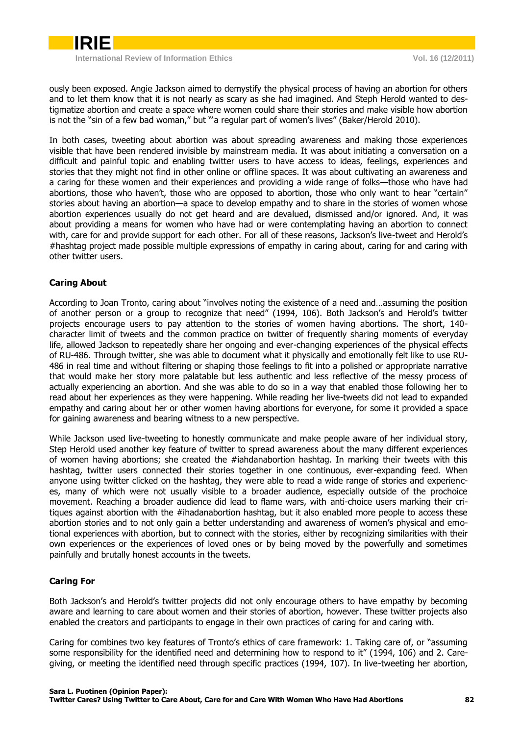

ously been exposed. Angie Jackson aimed to demystify the physical process of having an abortion for others and to let them know that it is not nearly as scary as she had imagined. And Steph Herold wanted to destigmatize abortion and create a space where women could share their stories and make visible how abortion is not the "sin of a few bad woman," but "'a regular part of women's lives" (Baker/Herold 2010).

In both cases, tweeting about abortion was about spreading awareness and making those experiences visible that have been rendered invisible by mainstream media. It was about initiating a conversation on a difficult and painful topic and enabling twitter users to have access to ideas, feelings, experiences and stories that they might not find in other online or offline spaces. It was about cultivating an awareness and a caring for these women and their experiences and providing a wide range of folks—those who have had abortions, those who haven't, those who are opposed to abortion, those who only want to hear "certain" stories about having an abortion—a space to develop empathy and to share in the stories of women whose abortion experiences usually do not get heard and are devalued, dismissed and/or ignored. And, it was about providing a means for women who have had or were contemplating having an abortion to connect with, care for and provide support for each other. For all of these reasons, Jackson's live-tweet and Herold's #hashtag project made possible multiple expressions of empathy in caring about, caring for and caring with other twitter users.

### <span id="page-3-0"></span>**Caring About**

According to Joan Tronto, caring about "involves noting the existence of a need and…assuming the position of another person or a group to recognize that need" (1994, 106). Both Jackson's and Herold's twitter projects encourage users to pay attention to the stories of women having abortions. The short, 140 character limit of tweets and the common practice on twitter of frequently sharing moments of everyday life, allowed Jackson to repeatedly share her ongoing and ever-changing experiences of the physical effects of RU-486. Through twitter, she was able to document what it physically and emotionally felt like to use RU-486 in real time and without filtering or shaping those feelings to fit into a polished or appropriate narrative that would make her story more palatable but less authentic and less reflective of the messy process of actually experiencing an abortion. And she was able to do so in a way that enabled those following her to read about her experiences as they were happening. While reading her live-tweets did not lead to expanded empathy and caring about her or other women having abortions for everyone, for some it provided a space for gaining awareness and bearing witness to a new perspective.

While Jackson used live-tweeting to honestly communicate and make people aware of her individual story, Step Herold used another key feature of twitter to spread awareness about the many different experiences of women having abortions; she created the #iahdanabortion hashtag. In marking their tweets with this hashtag, twitter users connected their stories together in one continuous, ever-expanding feed. When anyone using twitter clicked on the hashtag, they were able to read a wide range of stories and experiences, many of which were not usually visible to a broader audience, especially outside of the prochoice movement. Reaching a broader audience did lead to flame wars, with anti-choice users marking their critiques against abortion with the #ihadanabortion hashtag, but it also enabled more people to access these abortion stories and to not only gain a better understanding and awareness of women's physical and emotional experiences with abortion, but to connect with the stories, either by recognizing similarities with their own experiences or the experiences of loved ones or by being moved by the powerfully and sometimes painfully and brutally honest accounts in the tweets.

### <span id="page-3-1"></span>**Caring For**

Both Jackson's and Herold's twitter projects did not only encourage others to have empathy by becoming aware and learning to care about women and their stories of abortion, however. These twitter projects also enabled the creators and participants to engage in their own practices of caring for and caring with.

Caring for combines two key features of Tronto's ethics of care framework: 1. Taking care of, or "assuming some responsibility for the identified need and determining how to respond to it" (1994, 106) and 2. Caregiving, or meeting the identified need through specific practices (1994, 107). In live-tweeting her abortion,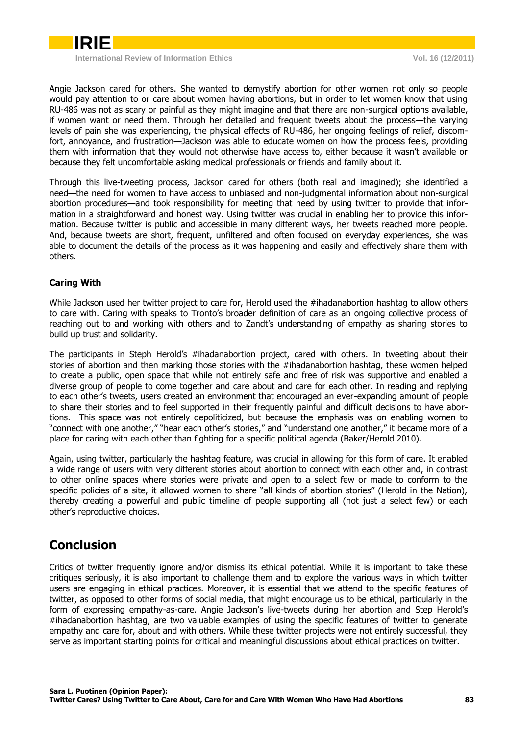

Angie Jackson cared for others. She wanted to demystify abortion for other women not only so people would pay attention to or care about women having abortions, but in order to let women know that using RU-486 was not as scary or painful as they might imagine and that there are non-surgical options available, if women want or need them. Through her detailed and frequent tweets about the process—the varying levels of pain she was experiencing, the physical effects of RU-486, her ongoing feelings of relief, discomfort, annoyance, and frustration—Jackson was able to educate women on how the process feels, providing them with information that they would not otherwise have access to, either because it wasn't available or because they felt uncomfortable asking medical professionals or friends and family about it.

Through this live-tweeting process, Jackson cared for others (both real and imagined); she identified a need—the need for women to have access to unbiased and non-judgmental information about non-surgical abortion procedures—and took responsibility for meeting that need by using twitter to provide that information in a straightforward and honest way. Using twitter was crucial in enabling her to provide this information. Because twitter is public and accessible in many different ways, her tweets reached more people. And, because tweets are short, frequent, unfiltered and often focused on everyday experiences, she was able to document the details of the process as it was happening and easily and effectively share them with others.

### <span id="page-4-0"></span>**Caring With**

While Jackson used her twitter project to care for, Herold used the #ihadanabortion hashtag to allow others to care with. Caring with speaks to Tronto's broader definition of care as an ongoing collective process of reaching out to and working with others and to Zandt's understanding of empathy as sharing stories to build up trust and solidarity.

The participants in Steph Herold's #ihadanabortion project, cared with others. In tweeting about their stories of abortion and then marking those stories with the #ihadanabortion hashtag, these women helped to create a public, open space that while not entirely safe and free of risk was supportive and enabled a diverse group of people to come together and care about and care for each other. In reading and replying to each other's tweets, users created an environment that encouraged an ever-expanding amount of people to share their stories and to feel supported in their frequently painful and difficult decisions to have abortions. This space was not entirely depoliticized, but because the emphasis was on enabling women to "connect with one another," "hear each other's stories," and "understand one another," it became more of a place for caring with each other than fighting for a specific political agenda (Baker/Herold 2010).

Again, using twitter, particularly the hashtag feature, was crucial in allowing for this form of care. It enabled a wide range of users with very different stories about abortion to connect with each other and, in contrast to other online spaces where stories were private and open to a select few or made to conform to the specific policies of a site, it allowed women to share "all kinds of abortion stories" (Herold in the Nation), thereby creating a powerful and public timeline of people supporting all (not just a select few) or each other's reproductive choices.

### <span id="page-4-1"></span>**Conclusion**

Critics of twitter frequently ignore and/or dismiss its ethical potential. While it is important to take these critiques seriously, it is also important to challenge them and to explore the various ways in which twitter users are engaging in ethical practices. Moreover, it is essential that we attend to the specific features of twitter, as opposed to other forms of social media, that might encourage us to be ethical, particularly in the form of expressing empathy-as-care. Angie Jackson's live-tweets during her abortion and Step Herold's #ihadanabortion hashtag, are two valuable examples of using the specific features of twitter to generate empathy and care for, about and with others. While these twitter projects were not entirely successful, they serve as important starting points for critical and meaningful discussions about ethical practices on twitter.